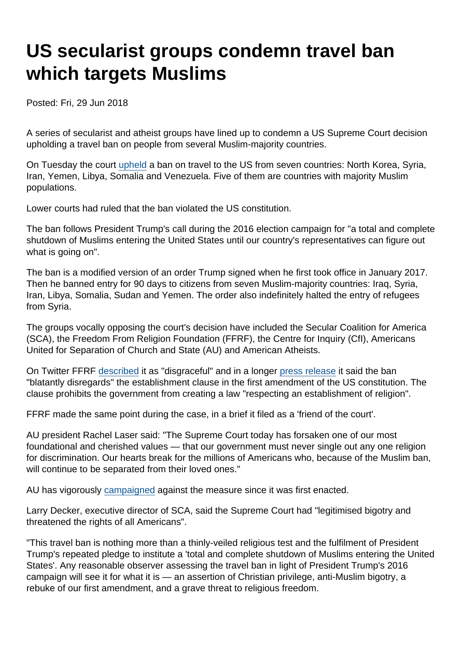## US secularist groups condemn travel ban which targets Muslims

Posted: Fri, 29 Jun 2018

A series of secularist and atheist groups have lined up to condemn a US Supreme Court decision upholding a travel ban on people from several Muslim-majority countries.

On Tuesday the court [upheld](https://www.washingtonpost.com/politics/courts_law/supreme-court-upholds-trump-travel-ban/2018/06/26/b79cb09a-7943-11e8-80be-6d32e182a3bc_story.html?noredirect=on&utm_term=.43450607c1d0) a ban on travel to the US from seven countries: North Korea, Syria, Iran, Yemen, Libya, Somalia and Venezuela. Five of them are countries with majority Muslim populations.

Lower courts had ruled that the ban violated the US constitution.

The ban follows President Trump's call during the 2016 election campaign for "a total and complete shutdown of Muslims entering the United States until our country's representatives can figure out what is going on".

The ban is a modified version of an order Trump signed when he first took office in January 2017. Then he banned entry for 90 days to citizens from seven Muslim-majority countries: Iraq, Syria, Iran, Libya, Somalia, Sudan and Yemen. The order also indefinitely halted the entry of refugees from Syria.

The groups vocally opposing the court's decision have included the Secular Coalition for America (SCA), the Freedom From Religion Foundation (FFRF), the Centre for Inquiry (CfI), Americans United for Separation of Church and State (AU) and American Atheists.

On Twitter FFRF [described](https://twitter.com/FFRF/status/1011626300090417153) it as "disgraceful" and in a longer [press release](https://ffrf.org/news/news-releases/item/32531-ffrf-condemns-court-ruling-upholding-muslim-travel-ban) it said the ban "blatantly disregards" the establishment clause in the first amendment of the US constitution. The clause prohibits the government from creating a law "respecting an establishment of religion".

FFRF made the same point during the case, in a brief it filed as a 'friend of the court'.

AU president Rachel Laser said: "The Supreme Court today has forsaken one of our most foundational and cherished values — that our government must never single out any one religion for discrimination. Our hearts break for the millions of Americans who, because of the Muslim ban, will continue to be separated from their loved ones."

AU has vigorously [campaigned](https://www.au.org/tags/muslim-ban) against the measure since it was first enacted.

Larry Decker, executive director of SCA, said the Supreme Court had "legitimised bigotry and threatened the rights of all Americans".

"This travel ban is nothing more than a thinly-veiled religious test and the fulfilment of President Trump's repeated pledge to institute a 'total and complete shutdown of Muslims entering the United States'. Any reasonable observer assessing the travel ban in light of President Trump's 2016 campaign will see it for what it is — an assertion of Christian privilege, anti-Muslim bigotry, a rebuke of our first amendment, and a grave threat to religious freedom.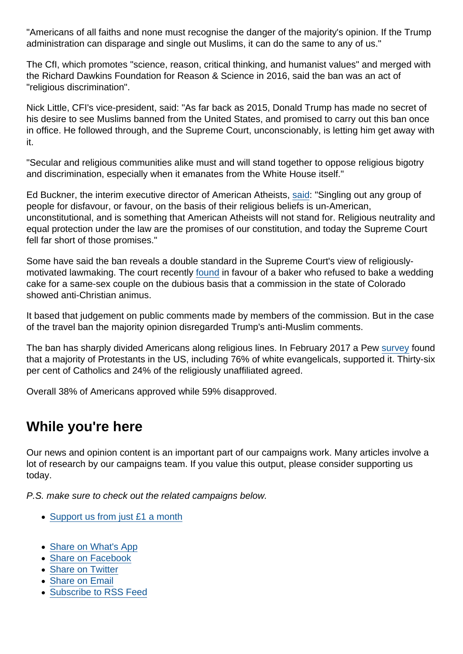"Americans of all faiths and none must recognise the danger of the majority's opinion. If the Trump administration can disparage and single out Muslims, it can do the same to any of us."

The CfI, which promotes "science, reason, critical thinking, and humanist values" and merged with the Richard Dawkins Foundation for Reason & Science in 2016, said the ban was an act of "religious discrimination".

Nick Little, CFI's vice-president, said: "As far back as 2015, Donald Trump has made no secret of his desire to see Muslims banned from the United States, and promised to carry out this ban once in office. He followed through, and the Supreme Court, unconscionably, is letting him get away with it.

"Secular and religious communities alike must and will stand together to oppose religious bigotry and discrimination, especially when it emanates from the White House itself."

Ed Buckner, the interim executive director of American Atheists, [said](https://www.atheists.org/2018/06/travel-ban/): "Singling out any group of people for disfavour, or favour, on the basis of their religious beliefs is un-American, unconstitutional, and is something that American Atheists will not stand for. Religious neutrality and equal protection under the law are the promises of our constitution, and today the Supreme Court fell far short of those promises."

Some have said the ban reveals a double standard in the Supreme Court's view of religiouslymotivated lawmaking. The court recently [found](https://edition.cnn.com/2018/06/04/politics/read-supreme-court-masterpiece-cupcake-decision/index.html) in favour of a baker who refused to bake a wedding cake for a same-sex couple on the dubious basis that a commission in the state of Colorado showed anti-Christian animus.

It based that judgement on public comments made by members of the commission. But in the case of the travel ban the majority opinion disregarded Trump's anti-Muslim comments.

The ban has sharply divided Americans along religious lines. In February 2017 a Pew [survey](http://www.pewresearch.org/fact-tank/2017/02/27/most-white-evangelicals-approve-of-trump-travel-prohibition-and-express-concerns-about-extremism/) found that a majority of Protestants in the US, including 76% of white evangelicals, supported it. Thirty-six per cent of Catholics and 24% of the religiously unaffiliated agreed.

Overall 38% of Americans approved while 59% disapproved.

## While you're here

Our news and opinion content is an important part of our campaigns work. Many articles involve a lot of research by our campaigns team. If you value this output, please consider supporting us today.

P.S. make sure to check out the related campaigns below.

- [Support us from just £1 a month](https://www.secularism.org.uk/donate.html)
- [Share on What's App](whatsapp://send?text=http://www.secularism.org.uk/news/2018/06/us-secularist-groups-condemn-travel-ban-which-targets-muslims?format=pdf)
- [Share on Facebook](https://www.facebook.com/sharer/sharer.php?u=http://www.secularism.org.uk/news/2018/06/us-secularist-groups-condemn-travel-ban-which-targets-muslims?format=pdf&t=US+secularist+groups+condemn+travel+ban+which+targets+Muslims)
- [Share on Twitter](https://twitter.com/intent/tweet?url=http://www.secularism.org.uk/news/2018/06/us-secularist-groups-condemn-travel-ban-which-targets-muslims?format=pdf&text=US+secularist+groups+condemn+travel+ban+which+targets+Muslims&via=NatSecSoc)
- [Share on Email](https://www.secularism.org.uk/share.html?url=http://www.secularism.org.uk/news/2018/06/us-secularist-groups-condemn-travel-ban-which-targets-muslims?format=pdf&title=US+secularist+groups+condemn+travel+ban+which+targets+Muslims)
- [Subscribe to RSS Feed](/mnt/web-data/www/cp-nss/feeds/rss/news)